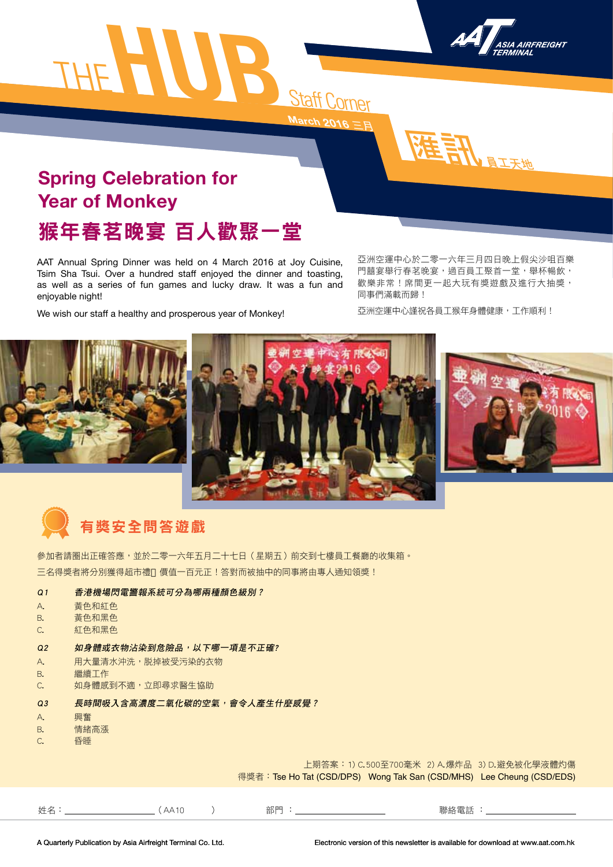





## 猴年春茗晚宴 百人歡聚一堂 **Spring Celebration for Year of Monkey**

AAT Annual Spring Dinner was held on 4 March 2016 at Joy Cuisine, Tsim Sha Tsui. Over a hundred staff enjoyed the dinner and toasting, as well as a series of fun games and lucky draw. It was a fun and

We wish our staff a healthy and prosperous year of Monkey!

亞洲空運中心於二零一六年三月四日晚上假尖沙咀百樂 門囍宴舉行春茗晚宴,過百員工聚首一堂,舉杯暢飲, 歡樂非常!席間更一起大玩有獎遊戲及進行大抽獎, 同事們滿載而歸!

匯訊員工天地

亞洲空運中心謹祝各員工猴年身體健康,工作順利!



## 有獎安全問答遊戲

參加者請圈出正確答應,並於二零一六年五月二十七日(星期五)前交到七樓員工餐廳的收集箱。 三名得獎者將分別獲得超市禮 價值一百元正!答對而被抽中的同事將由專人通知領獎!

### Q1 香港機場閃電警報系統可分為哪兩種顏色級別?

A. <del>黃色</del>和紅色

enjoyable night!

- B. 黃色和黑色
- C. 紅色和黑色

#### Q2 如身體或衣物沾染到危險品,以下哪一項是不正確?

- A. 用大量清水沖洗,脱掉被受污染的衣物
- B. 繼續工作
- C. **如身體感到不適,立即尋求醫生協助**
- Q3 長時間吸入含高濃度二氧化碳的空氣,會令人產生什麼感覺?
- A. 興奮
- B. 情緒高漲
- C. 昏睡

上期答案:1) C.500至700毫米 2) A.爆炸品 3) D.避免被化學液體灼傷 得獎者:Tse Ho Tat (CSD/DPS) Wong Tak San (CSD/MHS) Lee Cheung (CSD/EDS)

姓名: (AA10 ) 部門 : 聯絡電話 :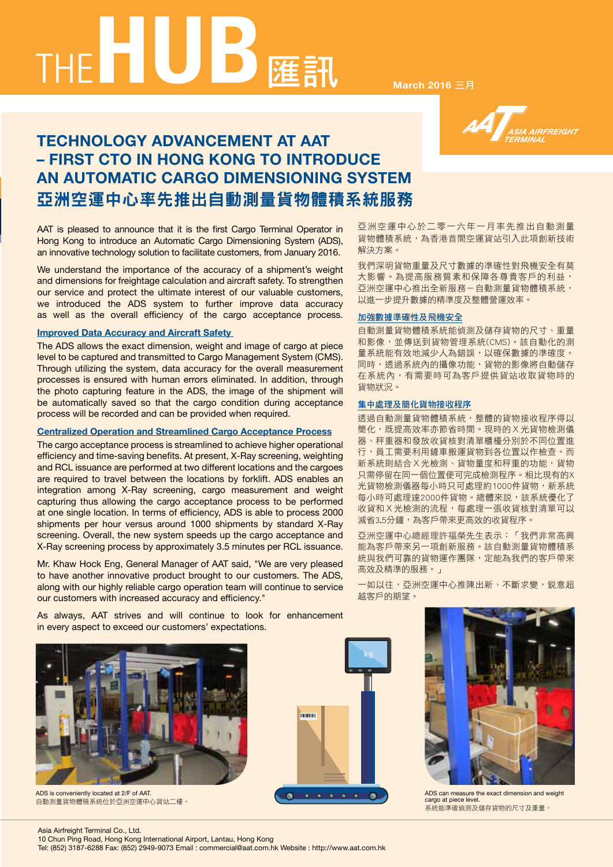

**ANTERNATIONAL PROPERTY** 

### **TECHNOLOGY ADVANCEMENT AT AAT – FIRST CTO IN HONG KONG TO INTRODUCE AN AUTOMATIC CARGO DIMENSIONING SYSTEM** 亞洲空運中心率先推出自動測量貨物體積系統服務

AAT is pleased to announce that it is the first Cargo Terminal Operator in Hong Kong to introduce an Automatic Cargo Dimensioning System (ADS), an innovative technology solution to facilitate customers, from January 2016.

We understand the importance of the accuracy of a shipment's weight and dimensions for freightage calculation and aircraft safety. To strengthen our service and protect the ultimate interest of our valuable customers, we introduced the ADS system to further improve data accuracy as well as the overall efficiency of the cargo acceptance process.

#### **Improved Data Accuracy and Aircraft Safety**

The ADS allows the exact dimension, weight and image of cargo at piece level to be captured and transmitted to Cargo Management System (CMS). Through utilizing the system, data accuracy for the overall measurement processes is ensured with human errors eliminated. In addition, through the photo capturing feature in the ADS, the image of the shipment will be automatically saved so that the cargo condition during acceptance process will be recorded and can be provided when required.

#### **Centralized Operation and Streamlined Cargo Acceptance Process**

The cargo acceptance process is streamlined to achieve higher operational efficiency and time-saving benefits. At present, X-Ray screening, weighting and RCL issuance are performed at two different locations and the cargoes are required to travel between the locations by forklift. ADS enables an integration among X-Ray screening, cargo measurement and weight capturing thus allowing the cargo acceptance process to be performed at one single location. In terms of efficiency, ADS is able to process 2000 shipments per hour versus around 1000 shipments by standard X-Ray screening. Overall, the new system speeds up the cargo acceptance and X-Ray screening process by approximately 3.5 minutes per RCL issuance.

Mr. Khaw Hock Eng, General Manager of AAT said, "We are very pleased to have another innovative product brought to our customers. The ADS, along with our highly reliable cargo operation team will continue to service our customers with increased accuracy and efficiency."

As always, AAT strives and will continue to look for enhancement in every aspect to exceed our customers' expectations.



ADS is conveniently located at 2/F of AAT. 自動測量貨物體積系統位於亞洲空運中心貨站二樓。

**kg**  $\begin{array}{ccccccccccccccccc} \bullet & \bullet & \bullet & \bullet & \bullet & \bullet & \bullet & \bullet \end{array}$  $\bullet$ 

亞洲空運中心於二零一六年一月率先推出自動測量 貨物體積系統,為香港首間空運貨站引入此項創新技術 解決方案。

我們深明貨物重量及尺寸數據的準確性對飛機安全有莫 大影響。為提高服務質素和保障各尊貴客戶的利益, 亞洲空運中心推出全新服務-自動測量貨物體積系統, 以進一步提升數據的精準度及整體營運效率。

#### 加強數據準確性及飛機安全

自動測量貨物體積系統能偵測及儲存貨物的尺寸、重量 和影像,並傳送到貨物管理系統(CMS)。該自動化的測 量系統能有效地減少人為錯誤,以確保數據的準確度。 同時,透過系統內的攝像功能,貨物的影像將自動儲存 在系統內,有需要時可為客戶提供貨站收取貨物時的 貨物狀況。

#### 集中處理及簡化貨物接收程序

透過自動測量貨物體積系統,整體的貨物接收程序得以 簡化,既提高效率亦節省時間。現時的X光貨物檢測儀 器、秤重器和發放收貨核對清單櫃檯分別於不同位置進 行,員工需要利用鏟車搬運貨物到各位置以作檢查。而 新系統則結合X光檢測、貨物量度和秤重的功能,貨物 只需停留在同一個位置便可完成檢測程序。相比現有的X 光貨物檢測儀器每小時只可處理約1000件貨物,新系統 每小時可處理達2000件貨物。總體來説,該系統優化了 收貨和X光檢測的流程,每處理一張收貨核對清單可以 減省3.5分鐘,為客戶帶來更高效的收貨程序。

亞洲空運中心總經理許福榮先生表示:「我們非常高興 能為客戶帶來另一項創新服務。該自動測量貨物體積系 統與我們可靠的貨物運作團隊,定能為我們的客戶帶來 高效及精準的服務。」

一如以往,亞洲空運中心推陳出新、不斷求變,鋭意超 越客戶的期望。



ADS can measure the exact dimension and weight cargo at piece level. 系統能準確偵測及儲存貨物的尺寸及重量。

#### Asia Airfreight Terminal Co., Ltd.

10 Chun Ping Road, Hong Kong International Airport, Lantau, Hong Kong

Tel: (852) 3187-6288 Fax: (852) 2949-9073 Email : commercial@aat.com.hk Website : http://www.aat.com.hk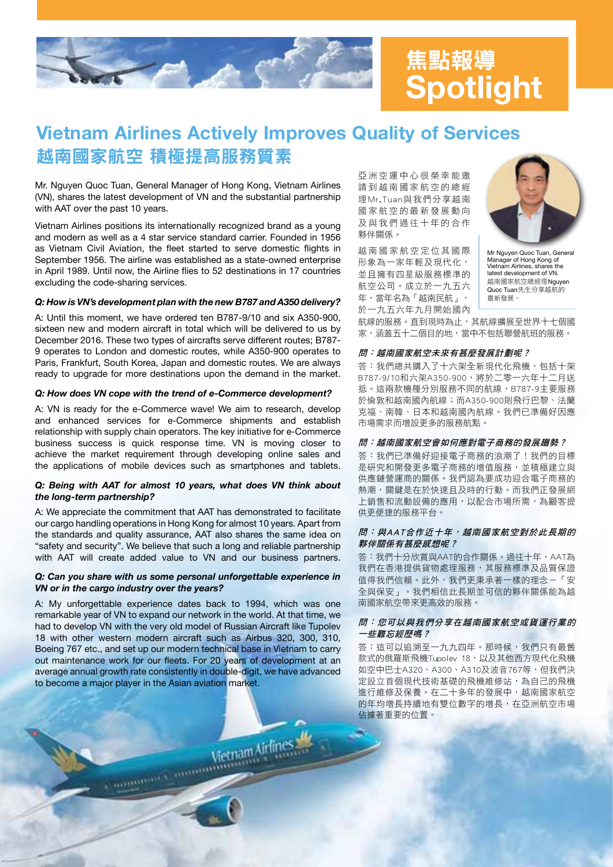

# **Spotlight** 焦點報導

### 越南國家航空 積極提高服務質素 **Vietnam Airlines Actively Improves Quality of Services**

Mr. Nguyen Quoc Tuan, General Manager of Hong Kong, Vietnam Airlines (VN), shares the latest development of VN and the substantial partnership with AAT over the past 10 years.

Vietnam Airlines positions its internationally recognized brand as a young and modern as well as a 4 star service standard carrier. Founded in 1956 as Vietnam Civil Aviation, the fleet started to serve domestic flights in September 1956. The airline was established as a state-owned enterprise in April 1989. Until now, the Airline flies to 52 destinations in 17 countries excluding the code-sharing services.

#### *Q: How is VN's development plan with the new B787 and A350 delivery?*

A: Until this moment, we have ordered ten B787-9/10 and six A350-900, sixteen new and modern aircraft in total which will be delivered to us by December 2016. These two types of aircrafts serve different routes; B787- 9 operates to London and domestic routes, while A350-900 operates to Paris, Frankfurt, South Korea, Japan and domestic routes. We are always ready to upgrade for more destinations upon the demand in the market.

#### *Q: How does VN cope with the trend of e-Commerce development?*

A: VN is ready for the e-Commerce wave! We aim to research, develop and enhanced services for e-Commerce shipments and establish relationship with supply chain operators. The key initiative for e-Commerce business success is quick response time. VN is moving closer to achieve the market requirement through developing online sales and the applications of mobile devices such as smartphones and tablets.

#### *Q: Being with AAT for almost 10 years, what does VN think about the long-term partnership?*

A: We appreciate the commitment that AAT has demonstrated to facilitate our cargo handling operations in Hong Kong for almost 10 years. Apart from the standards and quality assurance, AAT also shares the same idea on "safety and security". We believe that such a long and reliable partnership with AAT will create added value to VN and our business partners.

#### *Q: Can you share with us some personal unforgettable experience in VN or in the cargo industry over the years?*

A: My unforgettable experience dates back to 1994, which was one remarkable year of VN to expand our network in the world. At that time, we had to develop VN with the very old model of Russian Aircraft like Tupolev 18 with other western modern aircraft such as Airbus 320, 300, 310, Boeing 767 etc., and set up our modern technical base in Vietnam to carry out maintenance work for our fleets. For 20 years of development at an average annual growth rate consistently in double-digit, we have advanced to become a major player in the Asian aviation market.

Vietnam Airlines

亞洲空運中心很榮幸能邀 請到越南國家航空的總經 理Mr.Tuan與我們分享越南 國家航空的最新發展動向 及與我們過往十年的合作 夥伴關係。

越南國家航空定位其國際 形象為一家年輕及現代化, 並且擁有四星級服務標準的 航空公司。成立於一九五六 年,當年名為「越南民航」, 於一九五六年九月開始國內



Mr Nguyen Quoc Tuan, General Manager of Hong Kong of Vir Lysures, Suite<br>Manager of Hong Kong of<br>Vietnam Airlines, shares the latest development of VN. 越南國家航空總經理Nguyen Quoc Tuan先生分享越航的 最新發展。

航線的服務。直到現時為止,其航線擴展至世界十七個國 家,涵蓋五十二個目的地,當中不包括聯營航班的服務。

#### 問:越南國家航空未來有甚麼發展計劃呢?

答:我們總共購入了十六架全新現代化飛機,包括十架 B787-9/10和六架A350-900,將於二零一六年十二月送 抵。這兩款機種分別服務不同的航線,B787-9主要服務 於倫敦和越南國內航線;而A350-900則飛行巴黎、法蘭 克福、南韓、日本和越南國內航線。我們已準備好因應 市場需求而增設更多的服務航點。

#### 問:越南國家航空會如何應對電子商務的發展趨勢?

答:我們已準備好迎接電子商務的浪潮了!我們的目標 是研究和開發更多電子商務的增值服務,並積極建立與 供應鏈營運商的關係。我們認為要成功迎合電子商務的 熱潮,關鍵是在於快速且及時的行動。而我們正發展網 上銷售和流動設備的應用,以配合市場所需,為顧客提 供更便捷的服務平台。

#### 問:與AAT合作近十年,越南國家航空對於此長期的 夥伴關係有甚麼感想呢?

答:我們十分欣賞與AAT的合作關係。過往十年,AAT為 我們在香港提供貨物處理服務,其服務標準及品質保證 值得我們信賴。此外,我們更秉承著一樣的理念-「安 全與保安」。我們相信此長期並可信的夥伴關係能為越 南國家航空帶來更高效的服務。

#### 問:您可以與我們分享在越南國家航空或貨運行業的 一些難忘經歷嗎?

答:這可以追溯至一九九四年。那時候,我們只有最舊 款式的俄羅斯飛機Tupolev 18,以及其他西方現代化飛機 如空中巴士A320、A300、A310及波音767等,但我們決 定設立首個現代技術基礎的飛機維修站,為自己的飛機 進行維修及保養。在二十多年的發展中,越南國家航空 的年均增長持續地有雙位數字的增長,在亞洲航空市場 佔據著重要的位置。

**Community Community**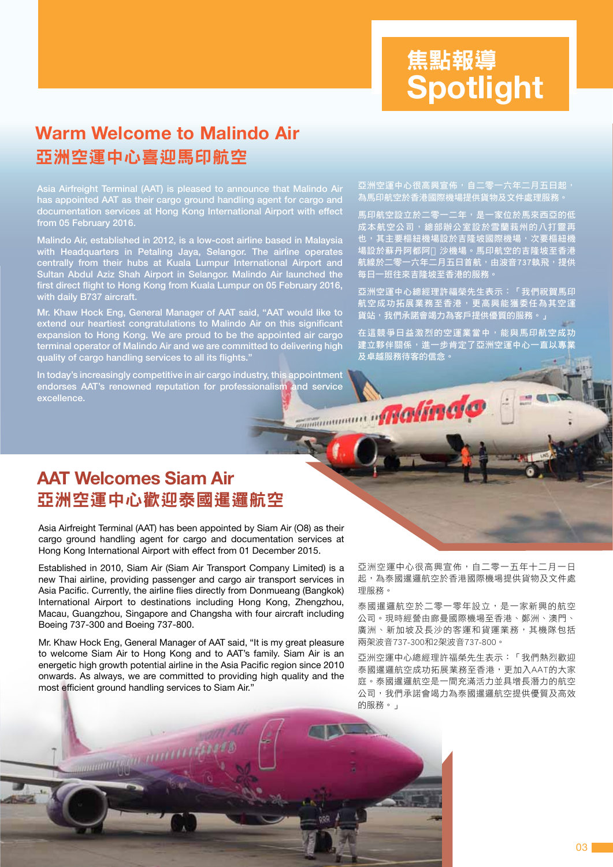# **Spotlight** 焦點報導 焦點報導

### 亞洲空運中心喜迎馬印航空 **Warm Welcome to Malindo Air**

Asia Airfreight Terminal (AAT) is pleased to announce that Malindo Air has appointed AAT as their cargo ground handling agent for cargo and documentation services at Hong Kong International Airport with effect from 05 February 2016.

Malindo Air, established in 2012, is a low-cost airline based in Malaysia with Headquarters in Petaling Jaya, Selangor. The airline operates centrally from their hubs at Kuala Lumpur International Airport and Sultan Abdul Aziz Shah Airport in Selangor. Malindo Air launched the first direct flight to Hong Kong from Kuala Lumpur on 05 February 2016, with daily B737 aircraft.

Mr. Khaw Hock Eng, General Manager of AAT said, "AAT would like to extend our heartiest congratulations to Malindo Air on this significant expansion to Hong Kong. We are proud to be the appointed air cargo terminal operator of Malindo Air and we are committed to delivering high quality of cargo handling services to all its flights."

In today's increasingly competitive in air cargo industry, this appointment endorses AAT's renowned reputation for professionalism and service Malindo excellence.

亞洲空運中心很高興宣佈,自二零一六年二月五日起, 為馬印航空於香港國際機場提供貨物及文件處理服務

馬印航空設立於二零一二年,是一家位於馬來西亞的低 成本航空公司,總部辦公室設於雪蘭莪州的八打靈再 也, 其主要樞紐機場設於吉隆坡國際機場, 次要樞紐機 場設於蘇丹阿都阿 沙機場。馬印航空的吉隆坡至香港 航線於二零一六年二月五日首航,由波音737執飛,提供 每日一班往來吉隆坡至香港的服務。

亞洲空運中心總經理許福榮先生表示:「我們祝賀馬印 航空成功拓展業務至香港,更高興能獲委任為其空運 貨站,我們承諾會竭力為客戶提供優質的服務。」

在這競爭日益激烈的空運業當中,能與馬印航空成功 ————————————————————<br>建立夥伴關係,進一<u>步肯定了亞洲空運中心一直以專業</u> 及卓越服務待客的信念。

### 亞洲空運中心歡迎泰國暹邏航空 **AAT Welcomes Siam Air**

Asia Airfreight Terminal (AAT) has been appointed by Siam Air (O8) as their cargo ground handling agent for cargo and documentation services at Hong Kong International Airport with effect from 01 December 2015.

Established in 2010, Siam Air (Siam Air Transport Company Limited) is a new Thai airline, providing passenger and cargo air transport services in Asia Pacific. Currently, the airline flies directly from Donmueang (Bangkok) International Airport to destinations including Hong Kong, Zhengzhou, Macau, Guangzhou, Singapore and Changsha with four aircraft including Boeing 737-300 and Boeing 737-800.

Mr. Khaw Hock Eng, General Manager of AAT said, "It is my great pleasure to welcome Siam Air to Hong Kong and to AAT's family. Siam Air is an energetic high growth potential airline in the Asia Pacific region since 2010 onwards. As always, we are committed to providing high quality and the most efficient ground handling services to Siam Air."

**Communication** 

亞洲空運中心很高興宣佈,自二零一五年十二月一日 起,為泰國暹邏航空於香港國際機場提供貨物及文件處 理服務。

泰國暹邏航空於二零一零年設立,是一家新興的航空 公司。現時經營由廊曼國際機場至香港、鄭洲、澳門、 廣洲、新加坡及長沙的客運和貨運業務,其機隊包括 兩架波音737-300和2架波音737-800。

亞洲空運中心總經理許福榮先生表示:「我們熱烈歡迎 泰國暹邏航空成功拓展業務至香港,更加入AAT的大家 庭。泰國暹邏航空是一間充滿活力並具增長潛力的航空 公司,我們承諾會竭力為泰國暹邏航空提供優質及高效 的服務。」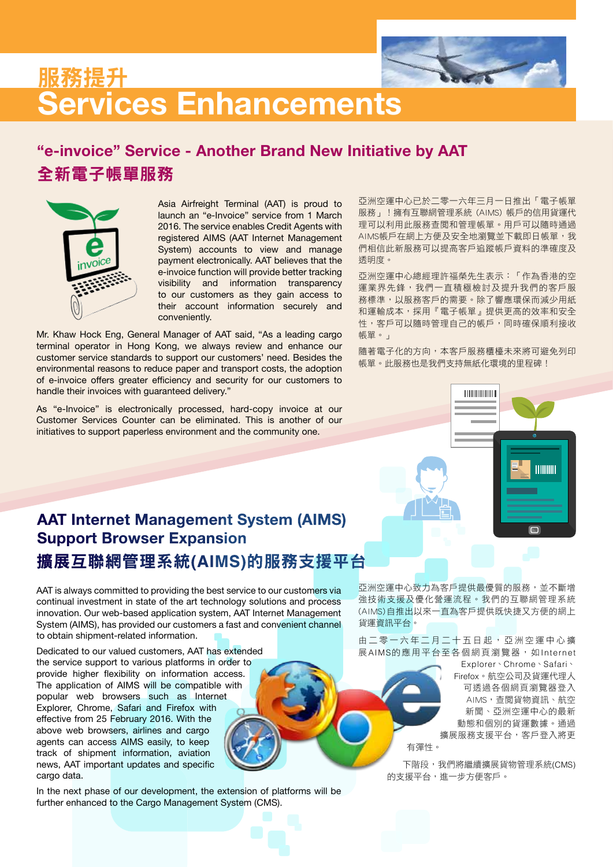

## **Services Enhancements** 服務提升

### 全新電子帳單服務 **"e-invoice" Service - Another Brand New Initiative by AAT**



Asia Airfreight Terminal (AAT) is proud to launch an "e-Invoice" service from 1 March 2016. The service enables Credit Agents with registered AIMS (AAT Internet Management System) accounts to view and manage payment electronically. AAT believes that the e-invoice function will provide better tracking visibility and information transparency to our customers as they gain access to their account information securely and conveniently.

Mr. Khaw Hock Eng, General Manager of AAT said, "As a leading cargo terminal operator in Hong Kong, we always review and enhance our customer service standards to support our customers' need. Besides the environmental reasons to reduce paper and transport costs, the adoption of e-invoice offers greater efficiency and security for our customers to handle their invoices with guaranteed delivery."

As "e-Invoice" is electronically processed, hard-copy invoice at our Customer Services Counter can be eliminated. This is another of our initiatives to support paperless environment and the community one.

亞洲空運中心已於二零一六年三月一日推出「電子帳單 服務」!擁有互聯網管理系統 (AIMS) 帳戶的信用貨運代 理可以利用此服務查閱和管理帳單。用戶可以隨時通過 AIMS帳戶在網上方便及安全地瀏覽並下載即日帳單,我 們相信此新服務可以提高客戶追蹤帳戶資料的準確度及 透明度。

亞洲空運中心總經理許福榮先生表示:「作為香港的空 運業界先鋒,我們一直積極檢討及提升我們的客戶服 務標準,以服務客戶的需要。除了響應環保而減少用紙 和運輸成本,採用『電子帳單』提供更高的效率和安全 性,客戶可以隨時管理自己的帳戶,同時確保順利接收 帳單。」

隨著電子化的方向,本客戶服務櫃檯未來將可避免列印 帳單。此服務也是我們支持無紙化環境的里程碑!



### 擴展互聯網管理系統**(AIMS)**的服務支援平台 **AAT Internet Management System (AIMS) Support Browser Expansion**

AAT is always committed to providing the best service to our customers via continual investment in state of the art technology solutions and process innovation. Our web-based application system, AAT Internet Management System (AIMS), has provided our customers a fast and convenient channel to obtain shipment-related information.

Dedicated to our valued customers, AAT has extended the service support to various platforms in order to provide higher flexibility on information access. The application of AIMS will be compatible with popular web browsers such as Internet Explorer, Chrome, Safari and Firefox with effective from 25 February 2016. With the above web browsers, airlines and cargo agents can access AIMS easily, to keep track of shipment information, aviation news, AAT important updates and specific cargo data.

In the next phase of our development, the extension of platforms will be further enhanced to the Cargo Management System (CMS).

亞洲空運中心致力為客戶提供最優質的服務,並不斷增 強技術支援及優化營運流程。我們的互聯網管理系統 (AIMS)自推出以來一直為客戶提供既快捷又方便的網上 貨運資訊平台。

由二零一六年二月二十五日起,亞洲空運中心擴 展AIMS的應用平台至各個網頁瀏覽器,如Internet

> Explorer、Chrome、Safari、 Firefox。航空公司及貨運代理人 可透過各個網頁瀏覽器登入 AIMS,查閱貨物資訊、航空 新聞、亞洲空運中心的最新 動態和個別的貨運數據。通過 擴展服務支援平台,客戶登入將更

有彈性。

下階段,我們將繼續擴展貨物管理系統(CMS) 的支援平台,進一步方便客戶。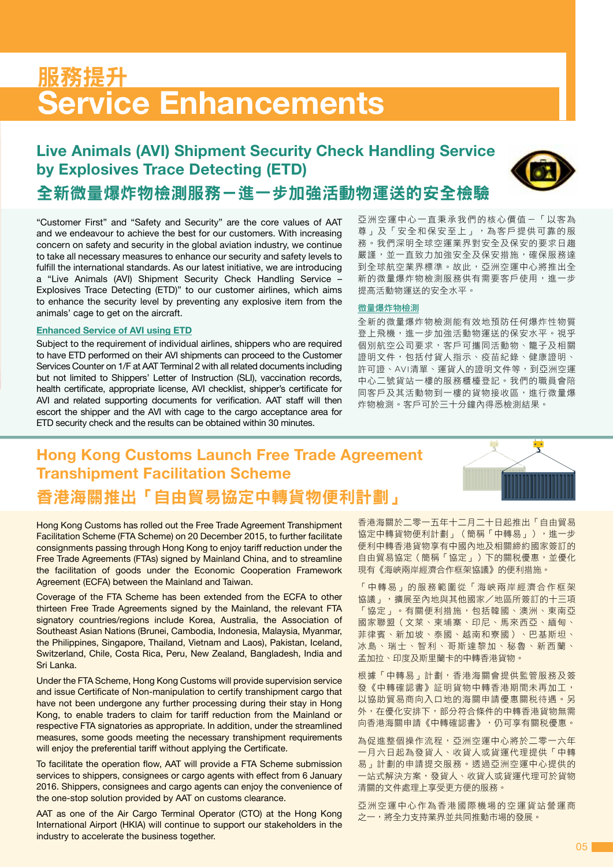## **Service Enhancements** 服務提升

### **Live Animals (AVI) Shipment Security Check Handling Service by Explosives Trace Detecting (ETD)**



### 全新微量爆炸物檢測服務-進一步加強活動物運送的安全檢驗

"Customer First" and "Safety and Security" are the core values of AAT and we endeavour to achieve the best for our customers. With increasing concern on safety and security in the global aviation industry, we continue to take all necessary measures to enhance our security and safety levels to fulfill the international standards. As our latest initiative, we are introducing a "Live Animals (AVI) Shipment Security Check Handling Service – Explosives Trace Detecting (ETD)" to our customer airlines, which aims to enhance the security level by preventing any explosive item from the animals' cage to get on the aircraft.

#### **Enhanced Service of AVI using ETD**

Subject to the requirement of individual airlines, shippers who are required to have ETD performed on their AVI shipments can proceed to the Customer Services Counter on 1/F at AAT Terminal 2 with all related documents including but not limited to Shippers' Letter of Instruction (SLI), vaccination records, health certificate, appropriate license, AVI checklist, shipper's certificate for AVI and related supporting documents for verification. AAT staff will then escort the shipper and the AVI with cage to the cargo acceptance area for ETD security check and the results can be obtained within 30 minutes.

亞洲空運中心一直秉承我們的核心價值-「以客為 尊」及「安全和保安至上」,為客戶提供可靠的服 務。我們深明全球空運業界對安全及保安的要求日趨 嚴謹,並一直致力加強安全及保安措施,確保服務達 到全球航空業界標準。故此,亞洲空運中心將推出全 新的微量爆炸物檢測服務供有需要客戶使用,進一步 提高活動物運送的安全水平。

#### 微量爆炸物檢測

全新的微量爆炸物檢測能有效地預防任何爆炸性物質 登上飛機,進一步加強活動物運送的保安水平。視乎 個別航空公司要求,客戶可攜同活動物、籠子及相關 證明文件,包括付貨人指示、疫苗紀錄、健康證明、 許可證、AVI清單、運貨人的證明文件等,到亞洲空運 中心二號貨站一樓的服務櫃檯登記。我們的職員會陪 同客戶及其活動物到一樓的貨物接收區,進行微量爆 炸物檢測。客戶可於三十分鐘內得悉檢測結果。

### 香港海關推出「自由貿易協定中轉貨物便利計劃」 **Hong Kong Customs Launch Free Trade Agreement Transhipment Facilitation Scheme**



Hong Kong Customs has rolled out the Free Trade Agreement Transhipment Facilitation Scheme (FTA Scheme) on 20 December 2015, to further facilitate consignments passing through Hong Kong to enjoy tariff reduction under the Free Trade Agreements (FTAs) signed by Mainland China, and to streamline the facilitation of goods under the Economic Cooperation Framework Agreement (ECFA) between the Mainland and Taiwan.

Coverage of the FTA Scheme has been extended from the ECFA to other thirteen Free Trade Agreements signed by the Mainland, the relevant FTA signatory countries/regions include Korea, Australia, the Association of Southeast Asian Nations (Brunei, Cambodia, Indonesia, Malaysia, Myanmar, the Philippines, Singapore, Thailand, Vietnam and Laos), Pakistan, Iceland, Switzerland, Chile, Costa Rica, Peru, New Zealand, Bangladesh, India and Sri Lanka.

Under the FTA Scheme, Hong Kong Customs will provide supervision service and issue Certificate of Non-manipulation to certify transhipment cargo that have not been undergone any further processing during their stay in Hong Kong, to enable traders to claim for tariff reduction from the Mainland or respective FTA signatories as appropriate. In addition, under the streamlined measures, some goods meeting the necessary transhipment requirements will enjoy the preferential tariff without applying the Certificate.

To facilitate the operation flow, AAT will provide a FTA Scheme submission services to shippers, consignees or cargo agents with effect from 6 January 2016. Shippers, consignees and cargo agents can enjoy the convenience of the one-stop solution provided by AAT on customs clearance.

AAT as one of the Air Cargo Terminal Operator (CTO) at the Hong Kong International Airport (HKIA) will continue to support our stakeholders in the industry to accelerate the business together.

香港海關於二零一五年十二月二十日起推出「自由貿易 協定中轉貨物便利計劃」(簡稱「中轉易」),進一步 便利中轉香港貨物享有中國內地及相關締約國家簽訂的 自由貿易協定(簡稱「協定」)下的關稅優惠,並優化 現有《海峽兩岸經濟合作框架協議》的便利措施。

「中轉易」的服務範圍從「海峽兩岸經濟合作框架 協議」,擴展至內地與其他國家/地區所簽訂的十三項 「協定」。有關便利措施,包括韓國、澳洲、東南亞 國家聯盟(文萊、柬埔寨、印尼、馬來西亞、緬甸、 菲律賓、新加坡、泰國、越南和寮國)、巴基斯坦、 冰島、瑞士、智利、哥斯達黎加、秘魯、新西蘭、 孟加拉、印度及斯里蘭卡的中轉香港貨物。

根據「中轉易」計劃,香港海關會提供監管服務及簽 發《中轉確認書》証明貨物中轉香港期間未再加工, 以協助貿易商向入口地的海關申請優惠關稅待遇。另 外,在優化安排下,部分符合條件的中轉香港貨物無需 向香港海關申請《中轉確認書》,仍可享有關稅優惠。

為促進整個操作流程,亞洲空運中心將於二零一六年 一月六日起為發貨人、收貨人或貨運代理提供「中轉 易」計劃的申請提交服務。透過亞洲空運中心提供的 一站式解決方案,發貨人、收貨人或貨運代理可於貨物 清關的文件處理上享受更方便的服務。

亞洲空運中心作為香港國際機場的空運貨站營運商 之一,將全力支持業界並共同推動市場的發展。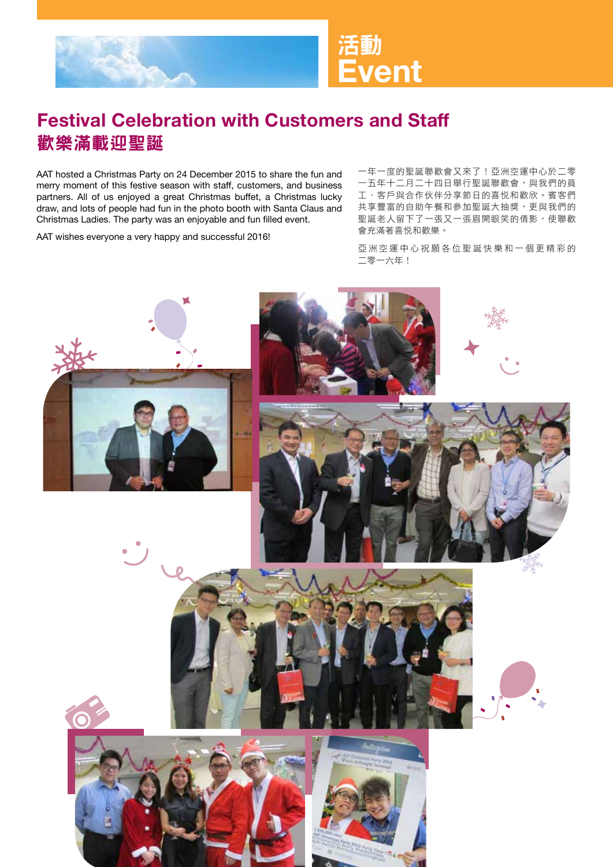

### 歡樂滿載迎聖誕 **Festival Celebration with Customers and Staff**

AAT hosted a Christmas Party on 24 December 2015 to share the fun and merry moment of this festive season with staff, customers, and business partners. All of us enjoyed a great Christmas buffet, a Christmas lucky draw, and lots of people had fun in the photo booth with Santa Claus and Christmas Ladies. The party was an enjoyable and fun filled event.

AAT wishes everyone a very happy and successful 2016!

一年一度的聖誕聯歡會又來了!亞洲空運中心於二零 一五年十二月二十四日舉行聖誕聯歡會,與我們的員 工、客戶與合作伙伴分享節日的喜悅和歡欣。賓客們 共享豐富的自助午餐和參加聖誕大抽獎,更與我們的 聖誕老人留下了一張又一張眉開眼笑的倩影,使聯歡 會充滿著喜悅和歡樂。

亞洲空運中心祝願各位聖誕快樂和一個更精彩的 二零一六年!